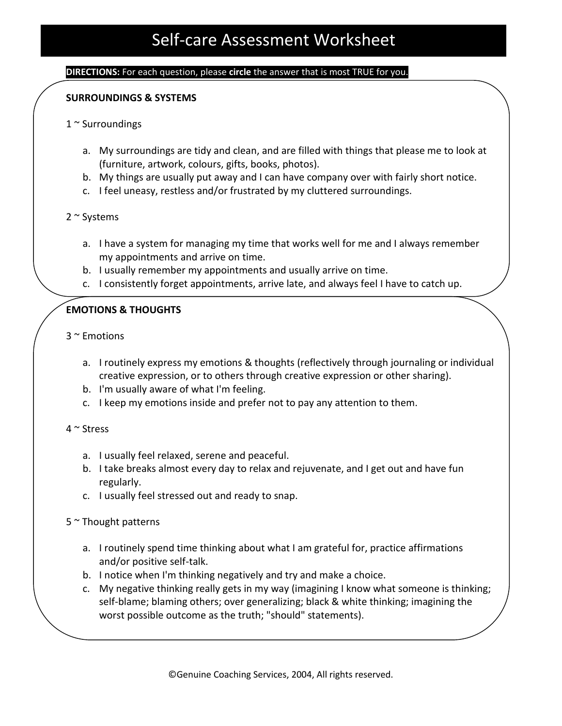#### **DIRECTIONS:** For each question, please **circle** the answer that is most TRUE for you.

### **SURROUNDINGS & SYSTEMS**

- 1 ~ Surroundings
	- a. My surroundings are tidy and clean, and are filled with things that please me to look at (furniture, artwork, colours, gifts, books, photos).
	- b. My things are usually put away and I can have company over with fairly short notice.
	- c. I feel uneasy, restless and/or frustrated by my cluttered surroundings.
- 2 ~ Systems
	- a. I have a system for managing my time that works well for me and I always remember my appointments and arrive on time.
	- b. I usually remember my appointments and usually arrive on time.
	- c. I consistently forget appointments, arrive late, and always feel I have to catch up.

### **EMOTIONS & THOUGHTS**

- 3 ~ Emotions
	- a. I routinely express my emotions & thoughts (reflectively through journaling or individual creative expression, or to others through creative expression or other sharing).
	- b. I'm usually aware of what I'm feeling.
	- c. I keep my emotions inside and prefer not to pay any attention to them.

### $4 \sim$  Stress

- a. I usually feel relaxed, serene and peaceful.
- b. I take breaks almost every day to relax and rejuvenate, and I get out and have fun regularly.
- c. I usually feel stressed out and ready to snap.

### 5 ~ Thought patterns

- a. I routinely spend time thinking about what I am grateful for, practice affirmations and/or positive self-talk.
- b. I notice when I'm thinking negatively and try and make a choice.
- c. My negative thinking really gets in my way (imagining I know what someone is thinking; self-blame; blaming others; over generalizing; black & white thinking; imagining the worst possible outcome as the truth; "should" statements).